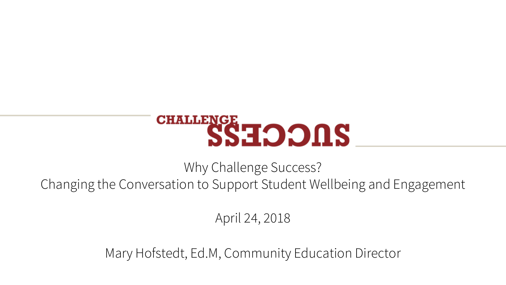

Why Challenge Success? Changing the Conversation to Support Student Wellbeing and Engagement

April 24, 2018

Mary Hofstedt, Ed.M, Community Education Director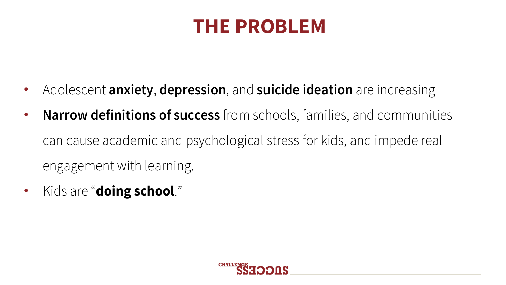# **THE PROBLEM**

- Adolescent **anxiety**, **depression**, and **suicide ideation** are increasing
- **Narrow definitions of success** from schools, families, and communities can cause academic and psychological stress for kids, and impede real engagement with learning.
- Kids are "**doing school**."

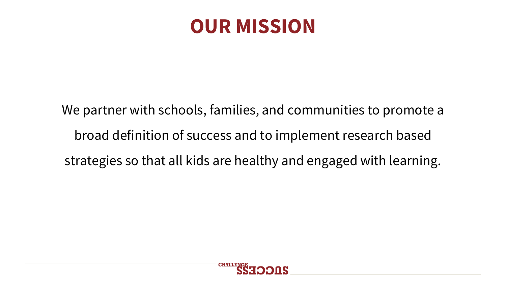### **OUR MISSION**

We partner with schools, families, and communities to promote a broad definition of success and to implement research based strategies so that all kids are healthy and engaged with learning.

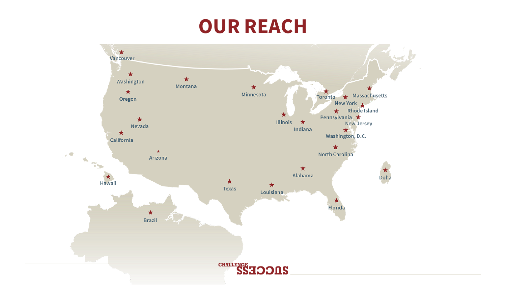### **OUR REACH**

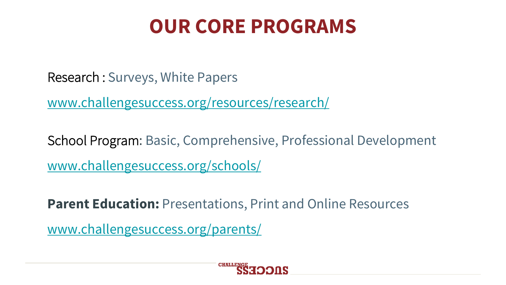# **OUR CORE PROGRAMS**

Research : Surveys, White Papers

www.challengesuccess.org/resources/research/

School Program: Basic, Comprehensive, Professional Development www.challengesuccess.org/schools/

**Parent Education:** Presentations, Print and Online Resources

www.challengesuccess.org/parents/

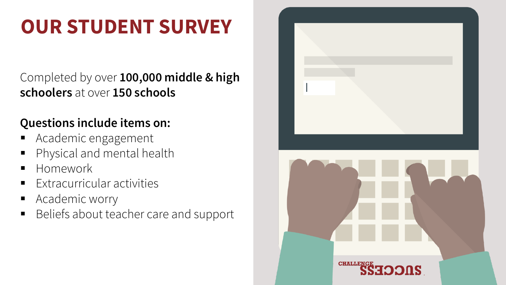# **OUR STUDENT SURVEY**

#### Completed by over **100,000 middle & high schoolers** at over **150 schools**

#### **Questions include items on:**

- § Academic engagement
- § Physical and mental health
- § Homework
- § Extracurricular activities
- Academic worry
- Beliefs about teacher care and support

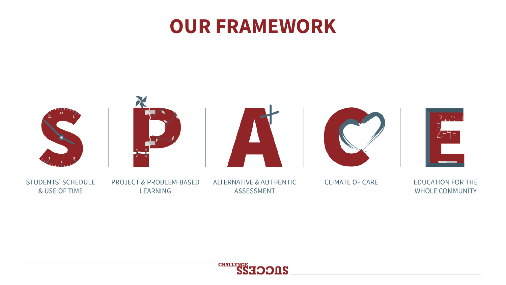### **OUR FRAMEWORK**



**STUDENTS' SCHEDULE** & USE OF TIME

**PROJECT & PROBLEM-BASED** LEARNING

**ALTERNATIVE & AUTHENTIC ASSESSMENT** 

**CLIMATE OF CARE** 

**EDUCATION FOR THE WHOLE COMMUNITY** 

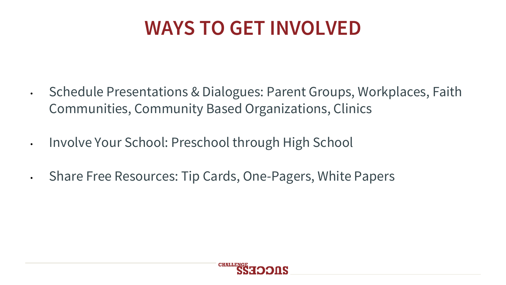# **WAYS TO GET INVOLVED**

- Schedule Presentations & Dialogues: Parent Groups, Workplaces, Faith Communities, Community Based Organizations, Clinics
- Involve Your School: Preschool through High School
- Share Free Resources: Tip Cards, One-Pagers, White Papers